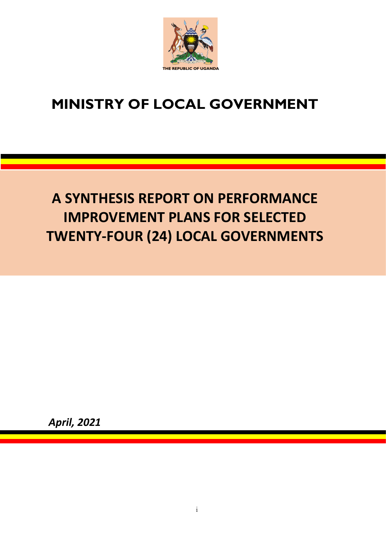

## **MINISTRY OF LOCAL GOVERNMENT**

# **A SYNTHESIS REPORT ON PERFORMANCE IMPROVEMENT PLANS FOR SELECTED TWENTY-FOUR (24) LOCAL GOVERNMENTS**

 *April, 2021*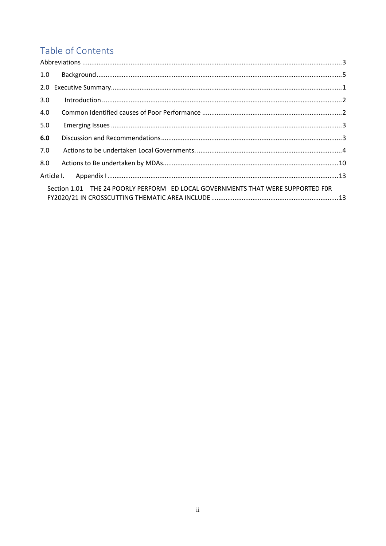### Table of Contents

| 1.0 |                                                                                 |  |
|-----|---------------------------------------------------------------------------------|--|
|     |                                                                                 |  |
| 3.0 |                                                                                 |  |
| 4.0 |                                                                                 |  |
| 5.0 |                                                                                 |  |
| 6.0 |                                                                                 |  |
| 7.0 |                                                                                 |  |
| 8.0 |                                                                                 |  |
|     |                                                                                 |  |
|     | Section 1.01 THE 24 POORLY PERFORM ED LOCAL GOVERNMENTS THAT WERE SUPPORTED FOR |  |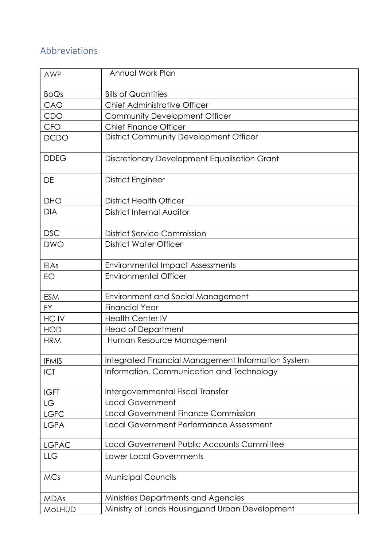### <span id="page-2-0"></span>Abbreviations

| <b>AWP</b>    | Annual Work Plan                                   |
|---------------|----------------------------------------------------|
| <b>BoQs</b>   | <b>Bills of Quantities</b>                         |
| CAO           | Chief Administrative Officer                       |
| CDO           | Community Development Officer                      |
| <b>CFO</b>    | <b>Chief Finance Officer</b>                       |
| <b>DCDO</b>   | District Community Development Officer             |
| <b>DDEG</b>   | Discretionary Development Equalisation Grant       |
| DE            | District Engineer                                  |
| <b>DHO</b>    | <b>District Health Officer</b>                     |
| <b>DIA</b>    | District Internal Auditor                          |
| <b>DSC</b>    | <b>District Service Commission</b>                 |
| <b>DWO</b>    | District Water Officer                             |
| EIAs          | <b>Environmental Impact Assessments</b>            |
| EO            | <b>Environmental Officer</b>                       |
| <b>ESM</b>    | <b>Environment and Social Management</b>           |
| <b>FY</b>     | <b>Financial Year</b>                              |
| HC IV         | <b>Health Center IV</b>                            |
| <b>HOD</b>    | <b>Head of Department</b>                          |
| <b>HRM</b>    | Human Resource Management                          |
| <b>IFMIS</b>  | Integrated Financial Management Information System |
| <b>ICT</b>    | Information, Communication and Technology          |
| <b>IGFT</b>   | Intergovernmental Fiscal Transfer                  |
| LG            | <b>Local Government</b>                            |
| <b>LGFC</b>   | <b>Local Government Finance Commission</b>         |
| <b>LGPA</b>   | Local Government Performance Assessment            |
| <b>LGPAC</b>  | Local Government Public Accounts Committee         |
| LLG           | <b>Lower Local Governments</b>                     |
| <b>MCs</b>    | <b>Municipal Councils</b>                          |
| <b>MDAs</b>   | Ministries Departments and Agencies                |
| <b>MoLHUD</b> | Ministry of Lands Housingiand Urban Development    |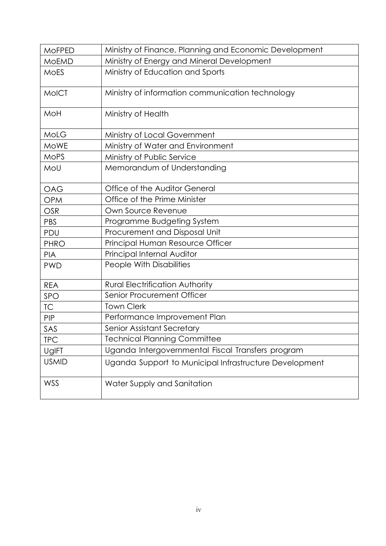| <b>MOFPED</b> | Ministry of Finance, Planning and Economic Development |
|---------------|--------------------------------------------------------|
| <b>MOEMD</b>  | Ministry of Energy and Mineral Development             |
| <b>MOES</b>   | Ministry of Education and Sports                       |
| <b>MoICT</b>  | Ministry of information communication technology       |
| MoH           | Ministry of Health                                     |
| MoLG          | Ministry of Local Government                           |
| <b>MoWE</b>   | Ministry of Water and Environment                      |
| <b>MoPS</b>   | Ministry of Public Service                             |
| MoU           | Memorandum of Understanding                            |
| <b>OAG</b>    | Office of the Auditor General                          |
| <b>OPM</b>    | Office of the Prime Minister                           |
| <b>OSR</b>    | Own Source Revenue                                     |
| <b>PBS</b>    | Programme Budgeting System                             |
| PDU           | Procurement and Disposal Unit                          |
| <b>PHRO</b>   | Principal Human Resource Officer                       |
| <b>PIA</b>    | Principal Internal Auditor                             |
| <b>PWD</b>    | People With Disabilities                               |
| <b>REA</b>    | <b>Rural Electrification Authority</b>                 |
| SPO           | Senior Procurement Officer                             |
| TC            | <b>Town Clerk</b>                                      |
| <b>PIP</b>    | Performance Improvement Plan                           |
| SAS           | <b>Senior Assistant Secretary</b>                      |
| <b>TPC</b>    | <b>Technical Planning Committee</b>                    |
| UgIFT         | Uganda Intergovernmental Fiscal Transfers program      |
| <b>USMID</b>  | Uganda Support to Municipal Infrastructure Development |
| WSS           | Water Supply and Sanitation                            |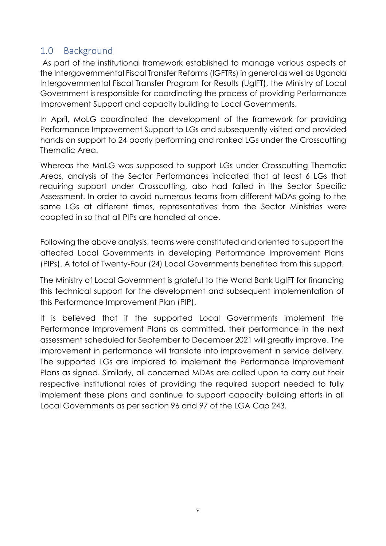#### <span id="page-4-0"></span>1.0 Background

As part of the institutional framework established to manage various aspects of the Intergovernmental Fiscal Transfer Reforms (IGFTRs) in general as well as Uganda Intergovernmental Fiscal Transfer Program for Results (UgIFT), the Ministry of Local Government is responsible for coordinating the process of providing Performance Improvement Support and capacity building to Local Governments.

In April, MoLG coordinated the development of the framework for providing Performance Improvement Support to LGs and subsequently visited and provided hands on support to 24 poorly performing and ranked LGs under the Crosscutting Thematic Area.

Whereas the MoLG was supposed to support LGs under Crosscutting Thematic Areas, analysis of the Sector Performances indicated that at least 6 LGs that requiring support under Crosscutting, also had failed in the Sector Specific Assessment. In order to avoid numerous teams from different MDAs going to the same LGs at different times, representatives from the Sector Ministries were coopted in so that all PIPs are handled at once.

Following the above analysis, teams were constituted and oriented to support the affected Local Governments in developing Performance Improvement Plans (PIPs). A total of Twenty-Four (24) Local Governments benefited from this support.

The Ministry of Local Government is grateful to the World Bank UgIFT for financing this technical support for the development and subsequent implementation of this Performance Improvement Plan (PIP).

It is believed that if the supported Local Governments implement the Performance Improvement Plans as committed, their performance in the next assessment scheduled for September to December 2021 will greatly improve. The improvement in performance will translate into improvement in service delivery. The supported LGs are implored to implement the Performance Improvement Plans as signed. Similarly, all concerned MDAs are called upon to carry out their respective institutional roles of providing the required support needed to fully implement these plans and continue to support capacity building efforts in all Local Governments as per section 96 and 97 of the LGA Cap 243.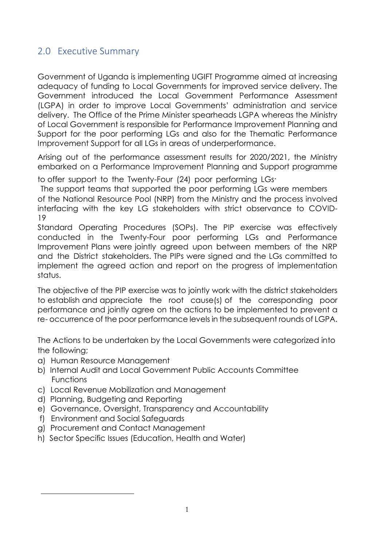#### <span id="page-5-0"></span>2.0 Executive Summary

Government of Uganda is implementing UGIFT Programme aimed at increasing adequacy of funding to Local Governments for improved service delivery. The Government introduced the Local Government Performance Assessment (LGPA) in order to improve Local Governments' administration and service delivery. The Office of the Prime Minister spearheads LGPA whereas the Ministry of Local Government is responsible for Performance Improvement Planning and Support for the poor performing LGs and also for the Thematic Performance Improvement Support for all LGs in areas of underperformance.

Arising out of the performance assessment results for 2020/2021, the Ministry embarked on a Performance Improvement Planning and Support programme

to offer support to the Twenty-Four (24) poor performing LGs .

The support teams that supported the poor performing LGs were members of the National Resource Pool (NRP) from the Ministry and the process involved interfacing with the key LG stakeholders with strict observance to COVID-19

Standard Operating Procedures (SOPs). The PIP exercise was effectively conducted in the Twenty-Four poor performing LGs and Performance Improvement Plans were jointly agreed upon between members of the NRP and the District stakeholders. The PIPs were signed and the LGs committed to implement the agreed action and report on the progress of implementation status.

The objective of the PIP exercise was to jointly work with the district stakeholders to establish and appreciate the root cause(s) of the corresponding poor performance and jointly agree on the actions to be implemented to prevent a re- occurrence of the poor performance levels in the subsequent rounds of LGPA.

The Actions to be undertaken by the Local Governments were categorized into the following;

- a) Human Resource Management
- b) Internal Audit and Local Government Public Accounts Committee Functions
- c) Local Revenue Mobilization and Management
- d) Planning, Budgeting and Reporting
- e) Governance, Oversight, Transparency and Accountability
- f) Environment and Social Safeguards
- g) Procurement and Contact Management
- h) Sector Specific Issues (Education, Health and Water)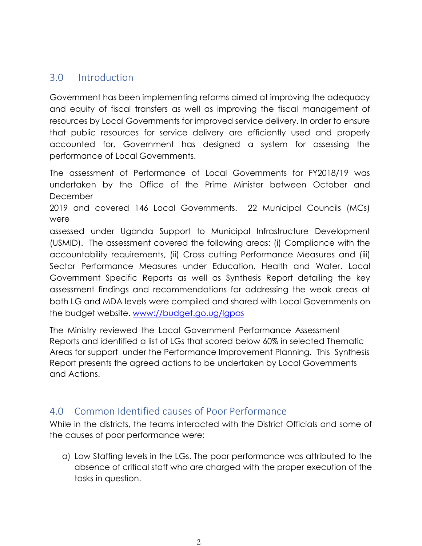#### 3.0 Introduction

<span id="page-6-0"></span>Government has been implementing reforms aimed at improving the adequacy and equity of fiscal transfers as well as improving the fiscal management of resources by Local Governments for improved service delivery. In order to ensure that public resources for service delivery are efficiently used and properly accounted for, Government has designed a system for assessing the performance of Local Governments.

The assessment of Performance of Local Governments for FY2018/19 was undertaken by the Office of the Prime Minister between October and **December** 

2019 and covered 146 Local Governments. 22 Municipal Councils (MCs) were

assessed under Uganda Support to Municipal Infrastructure Development (USMID). The assessment covered the following areas: (i) Compliance with the accountability requirements, (ii) Cross cutting Performance Measures and (iii) Sector Performance Measures under Education, Health and Water. Local Government Specific Reports as well as Synthesis Report detailing the key assessment findings and recommendations for addressing the weak areas at both LG and MDA levels were compiled and shared with Local Governments on the budget website. [www://budget.go.ug/lgpas](http://www.budget.go.ug/budget/LGPAs)

The Ministry reviewed the Local Government Performance Assessment Reports and identified a list of LGs that scored below 60% in selected Thematic Areas for support under the Performance Improvement Planning. This Synthesis Report presents the agreed actions to be undertaken by Local Governments and Actions.

#### 4.0 Common Identified causes of Poor Performance

<span id="page-6-1"></span>While in the districts, the teams interacted with the District Officials and some of the causes of poor performance were;

a) Low Staffing levels in the LGs. The poor performance was attributed to the absence of critical staff who are charged with the proper execution of the tasks in question.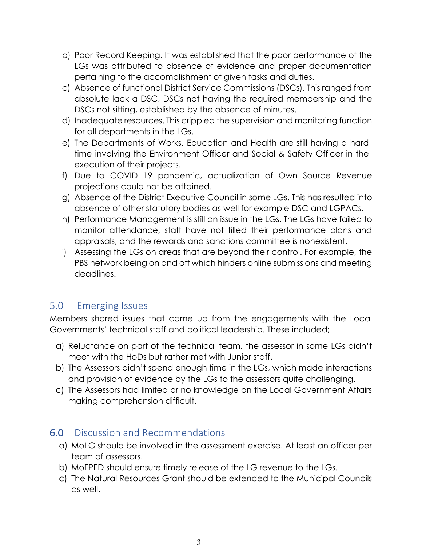- b) Poor Record Keeping. It was established that the poor performance of the LGs was attributed to absence of evidence and proper documentation pertaining to the accomplishment of given tasks and duties.
- c) Absence of functional District Service Commissions (DSCs). This ranged from absolute lack a DSC, DSCs not having the required membership and the DSCs not sitting, established by the absence of minutes.
- d) Inadequate resources. This crippled the supervision and monitoring function for all departments in the LGs.
- e) The Departments of Works, Education and Health are still having a hard time involving the Environment Officer and Social & Safety Officer in the execution of their projects.
- f) Due to COVID 19 pandemic, actualization of Own Source Revenue projections could not be attained.
- g) Absence of the District Executive Council in some LGs. This has resulted into absence of other statutory bodies as well for example DSC and LGPACs.
- h) Performance Management is still an issue in the LGs. The LGs have failed to monitor attendance, staff have not filled their performance plans and appraisals, and the rewards and sanctions committee is nonexistent.
- i) Assessing the LGs on areas that are beyond their control. For example, the PBS network being on and off which hinders online submissions and meeting deadlines.

#### 5.0 Emerging Issues

Members shared issues that came up from the engagements with the Local Governments' technical staff and political leadership. These included;

- <span id="page-7-0"></span>a) Reluctance on part of the technical team, the assessor in some LGs didn't meet with the HoDs but rather met with Junior staff**.**
- b) The Assessors didn't spend enough time in the LGs, which made interactions and provision of evidence by the LGs to the assessors quite challenging.
- c) The Assessors had limited or no knowledge on the Local Government Affairs making comprehension difficult.

#### 6.0 Discussion and Recommendations

- a) MoLG should be involved in the assessment exercise. At least an officer per team of assessors.
- <span id="page-7-1"></span>b) MoFPED should ensure timely release of the LG revenue to the LGs.
- c) The Natural Resources Grant should be extended to the Municipal Councils as well.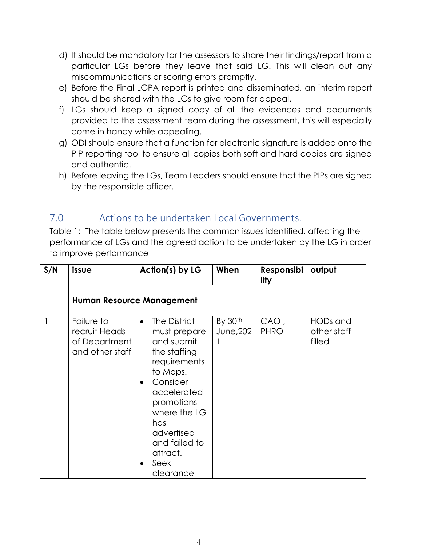- d) It should be mandatory for the assessors to share their findings/report from a particular LGs before they leave that said LG. This will clean out any miscommunications or scoring errors promptly.
- e) Before the Final LGPA report is printed and disseminated, an interim report should be shared with the LGs to give room for appeal.
- f) LGs should keep a signed copy of all the evidences and documents provided to the assessment team during the assessment, this will especially come in handy while appealing.
- g) ODI should ensure that a function for electronic signature is added onto the PIP reporting tool to ensure all copies both soft and hard copies are signed and authentic.
- h) Before leaving the LGs, Team Leaders should ensure that the PIPs are signed by the responsible officer.

#### 7.0 Actions to be undertaken Local Governments.

<span id="page-8-0"></span>Table 1: The table below presents the common issues identified, affecting the performance of LGs and the agreed action to be undertaken by the LG in order to improve performance

| S/N | issue                                                           | Action(s) by LG                                                                                                                                                                                                                     | When                 | Responsibi<br>lity  | output                            |  |
|-----|-----------------------------------------------------------------|-------------------------------------------------------------------------------------------------------------------------------------------------------------------------------------------------------------------------------------|----------------------|---------------------|-----------------------------------|--|
|     | <b>Human Resource Management</b>                                |                                                                                                                                                                                                                                     |                      |                     |                                   |  |
|     | Failure to<br>recruit Heads<br>of Department<br>and other staff | The District<br>$\bullet$<br>must prepare<br>and submit<br>the staffing<br>requirements<br>to Mops.<br>Consider<br>accelerated<br>promotions<br>where the LG<br>has<br>advertised<br>and failed to<br>attract.<br>Seek<br>clearance | By 30th<br>June, 202 | CAO,<br><b>PHRO</b> | HODs and<br>other staff<br>filled |  |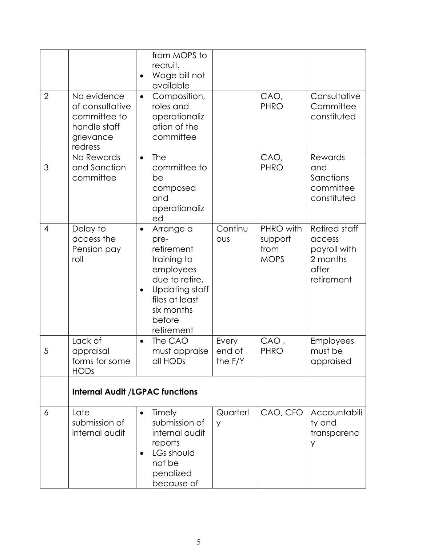| $\overline{2}$ | No evidence<br>of consultative<br>committee to        | from MOPS to<br>recruit.<br>Wage bill not<br>available<br>Composition,<br>$\bullet$<br>roles and<br>operationaliz                                                                        |                            | CAO,<br><b>PHRO</b>                         | Consultative<br>Committee<br>constituted                                          |
|----------------|-------------------------------------------------------|------------------------------------------------------------------------------------------------------------------------------------------------------------------------------------------|----------------------------|---------------------------------------------|-----------------------------------------------------------------------------------|
|                | handle staff<br>grievance<br>redress                  | ation of the<br>committee                                                                                                                                                                |                            |                                             |                                                                                   |
| 3              | No Rewards<br>and Sanction<br>committee               | <b>The</b><br>$\bullet$<br>committee to<br>be<br>composed<br>and<br>operationaliz<br>ed                                                                                                  |                            | CAO,<br><b>PHRO</b>                         | <b>Rewards</b><br>and<br>Sanctions<br>committee<br>constituted                    |
| $\overline{4}$ | Delay to<br>access the<br>Pension pay<br>roll         | Arrange a<br>$\bullet$<br>pre-<br>retirement<br>training to<br>employees<br>due to retire,<br><b>Updating staff</b><br>$\bullet$<br>files at least<br>six months<br>before<br>retirement | Continu<br>OUS             | PHRO with<br>support<br>from<br><b>MOPS</b> | <b>Retired staff</b><br>access<br>payroll with<br>2 months<br>after<br>retirement |
| 5              | Lack of<br>appraisal<br>forms for some<br><b>HODs</b> | The CAO<br>$\bullet$<br>must appraise<br>all HODs                                                                                                                                        | Every<br>end of<br>the F/Y | CAO,<br><b>PHRO</b>                         | Employees<br>must be<br>appraised                                                 |
|                | <b>Internal Audit /LGPAC functions</b>                |                                                                                                                                                                                          |                            |                                             |                                                                                   |
| 6              | Late<br>submission of<br>internal audit               | Timely<br>$\bullet$<br>submission of<br>internal audit<br>reports<br>LGs should<br>$\bullet$<br>not be<br>penalized<br>because of                                                        | Quarterl<br>y              | CAO, CFO                                    | Accountabili<br>ty and<br>transparenc<br>y                                        |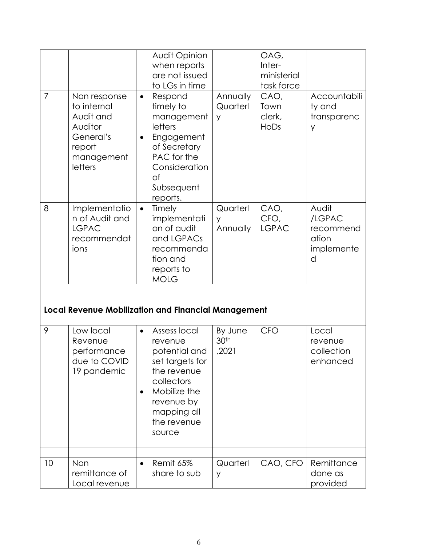|                |                                                                                                     | Audit Opinion<br>when reports<br>are not issued<br>to LGs in time                                                                                                           |                                      | OAG,<br>Inter-<br>ministerial<br>task force |                                                          |
|----------------|-----------------------------------------------------------------------------------------------------|-----------------------------------------------------------------------------------------------------------------------------------------------------------------------------|--------------------------------------|---------------------------------------------|----------------------------------------------------------|
| $\overline{7}$ | Non response<br>to internal<br>Audit and<br>Auditor<br>General's<br>report<br>management<br>letters | Respond<br>$\bullet$<br>timely to<br>management<br>letters<br>Engagement<br>$\bullet$<br>of Secretary<br>PAC for the<br>Consideration<br>Οf<br>Subsequent<br>reports.       | Annually<br>Quarterl<br>y            | CAO,<br>Town<br>clerk,<br>HoDs              | Accountabili<br>ty and<br>transparenc<br>y               |
| 8              | Implementatio<br>n of Audit and<br><b>LGPAC</b><br>recommendat<br>ions                              | Timely<br>$\bullet$<br>implementati<br>on of audit<br>and LGPACs<br>recommenda<br>tion and<br>reports to<br><b>MOLG</b>                                                     | Quarterl<br>y<br>Annually            | CAO,<br>CFO,<br><b>LGPAC</b>                | Audit<br>/LGPAC<br>recommend<br>ation<br>implemente<br>d |
|                |                                                                                                     | <b>Local Revenue Mobilization and Financial Management</b>                                                                                                                  |                                      |                                             |                                                          |
| 9              | Low local<br>Revenue<br>performance<br>due to COVID<br>19 pandemic                                  | Assess local<br>$\bullet$<br>revenue<br>potential and<br>set targets for<br>the revenue<br>collectors<br>Mobilize the<br>revenue by<br>mapping all<br>the revenue<br>source | By June<br>30 <sup>th</sup><br>,2021 | <b>CFO</b>                                  | Local<br>revenue<br>collection<br>enhanced               |
| 10             | Non<br>remittance of<br>Local revenue                                                               | Remit 65%<br>share to sub                                                                                                                                                   | Quarterl<br>y                        | CAO, CFO                                    | Remittance<br>done as<br>provided                        |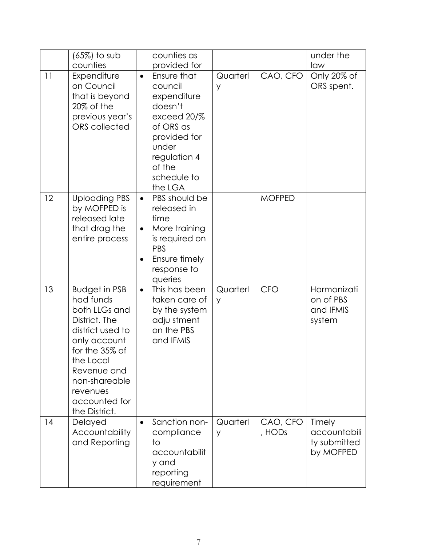|    | $(65%)$ to sub<br>counties                                                                                                                                                                                           | counties as<br>provided for                                                                                                                                            |               |                    | under the<br>law                                    |
|----|----------------------------------------------------------------------------------------------------------------------------------------------------------------------------------------------------------------------|------------------------------------------------------------------------------------------------------------------------------------------------------------------------|---------------|--------------------|-----------------------------------------------------|
| 11 | Expenditure<br>on Council<br>that is beyond<br>20% of the<br>previous year's<br><b>ORS</b> collected                                                                                                                 | Ensure that<br>$\bullet$<br>council<br>expenditure<br>doesn't<br>exceed 20/%<br>of ORS as<br>provided for<br>under<br>regulation 4<br>of the<br>schedule to<br>the LGA | Quarterl<br>У | CAO, CFO           | Only 20% of<br>ORS spent.                           |
| 12 | <b>Uploading PBS</b><br>by MOFPED is<br>released late<br>that drag the<br>entire process                                                                                                                             | PBS should be<br>$\bullet$<br>released in<br>time<br>More training<br>$\bullet$<br>is required on<br><b>PBS</b><br>Ensure timely<br>response to<br>queries             |               | <b>MOFPED</b>      |                                                     |
| 13 | <b>Budget in PSB</b><br>had funds<br>both LLGs and<br>District. The<br>district used to<br>only account<br>for the 35% of<br>the Local<br>Revenue and<br>non-shareable<br>revenues<br>accounted for<br>the District. | This has been<br>$\bullet$<br>taken care of<br>by the system<br>adju stment<br>on the PBS<br>and IFMIS                                                                 | Quarterl<br>y | <b>CFO</b>         | Harmonizati<br>on of PBS<br>and IFMIS<br>system     |
| 14 | Delayed<br>Accountability<br>and Reporting                                                                                                                                                                           | Sanction non-<br>$\bullet$<br>compliance<br>to<br>accountabilit<br>y and<br>reporting<br>requirement                                                                   | Quarterl<br>y | CAO, CFO<br>, HODs | Timely<br>accountabili<br>ty submitted<br>by MOFPED |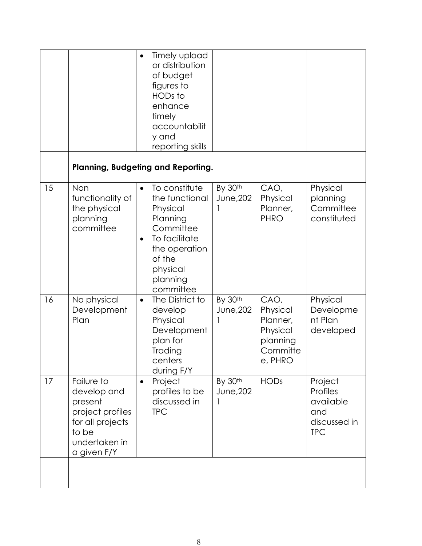|    |                                                                                                                       | Timely upload<br>$\bullet$<br>or distribution<br>of budget<br>figures to<br>HODs to<br>enhance<br>timely<br>accountabilit<br>y and<br>reporting skills             |                      |                                                                             |                                                                              |
|----|-----------------------------------------------------------------------------------------------------------------------|--------------------------------------------------------------------------------------------------------------------------------------------------------------------|----------------------|-----------------------------------------------------------------------------|------------------------------------------------------------------------------|
|    |                                                                                                                       | <b>Planning, Budgeting and Reporting.</b>                                                                                                                          |                      |                                                                             |                                                                              |
| 15 | Non<br>functionality of<br>the physical<br>planning<br>committee                                                      | To constitute<br>the functional<br>Physical<br>Planning<br>Committee<br>To facilitate<br>$\bullet$<br>the operation<br>of the<br>physical<br>planning<br>committee | By 30th<br>June, 202 | CAO,<br>Physical<br>Planner,<br><b>PHRO</b>                                 | Physical<br>planning<br>Committee<br>constituted                             |
| 16 | No physical<br>Development<br>Plan                                                                                    | The District to<br>$\bullet$<br>develop<br>Physical<br>Development<br>plan for<br>Trading<br>centers<br>during F/Y                                                 | By 30th<br>June, 202 | CAO,<br>Physical<br>Planner,<br>Physical<br>planning<br>Committe<br>e, PHRO | Physical<br>Developme<br>nt Plan<br>developed                                |
| 17 | Failure to<br>develop and<br>present<br>project profiles<br>for all projects<br>to be<br>undertaken in<br>a given F/Y | Project<br>$\bullet$<br>profiles to be<br>discussed in<br><b>TPC</b>                                                                                               | By 30th<br>June, 202 | <b>HODs</b>                                                                 | Project<br><b>Profiles</b><br>available<br>and<br>discussed in<br><b>TPC</b> |
|    |                                                                                                                       |                                                                                                                                                                    |                      |                                                                             |                                                                              |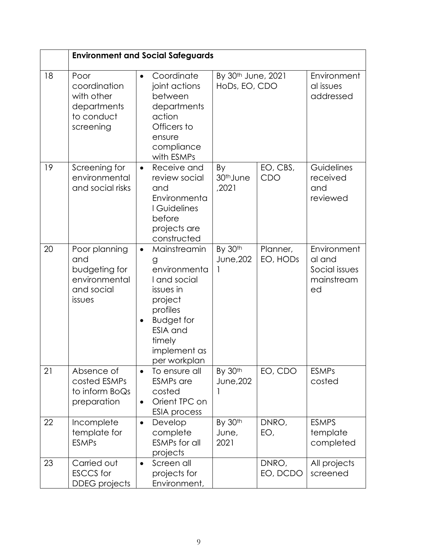|    | <b>Environment and Social Safeguards</b>                                       |                                                                                                                                                                                      |                                                 |                      |                                                            |  |
|----|--------------------------------------------------------------------------------|--------------------------------------------------------------------------------------------------------------------------------------------------------------------------------------|-------------------------------------------------|----------------------|------------------------------------------------------------|--|
| 18 | Poor<br>coordination<br>with other<br>departments<br>to conduct<br>screening   | Coordinate<br>joint actions<br>between<br>departments<br>action<br>Officers to<br>ensure<br>compliance<br>with ESMPs                                                                 | By 30 <sup>th</sup> June, 2021<br>HoDs, EO, CDO |                      | Environment<br>al issues<br>addressed                      |  |
| 19 | Screening for<br>environmental<br>and social risks                             | Receive and<br>$\bullet$<br>review social<br>and<br>Environmenta<br>I Guidelines<br>before<br>projects are<br>constructed                                                            | By<br>30 <sup>th</sup> June<br>,2021            | EO, CBS,<br>CDO      | Guidelines<br>received<br>and<br>reviewed                  |  |
| 20 | Poor planning<br>and<br>budgeting for<br>environmental<br>and social<br>issues | Mainstreamin<br>$\bullet$<br>g<br>environmenta<br>I and social<br>issues in<br>project<br>profiles<br><b>Budget for</b><br><b>ESIA</b> and<br>timely<br>implement as<br>per workplan | By 30th<br>June, 202                            | Planner,<br>EO, HODs | Environment<br>al and<br>Social issues<br>mainstream<br>ed |  |
| 21 | Absence of<br>costed ESMPs<br>to inform BoQs<br>preparation                    | To ensure all<br>$\bullet$<br><b>ESMPs</b> are<br>costed<br>Orient TPC on<br>$\bullet$<br><b>ESIA</b> process                                                                        | By 30th<br>June, 202                            | EO, CDO              | <b>ESMPs</b><br>costed                                     |  |
| 22 | Incomplete<br>template for<br><b>ESMPs</b>                                     | Develop<br>$\bullet$<br>complete<br><b>ESMPs for all</b><br>projects                                                                                                                 | By 30th<br>June,<br>2021                        | DNRO,<br>EO,         | <b>ESMPS</b><br>template<br>completed                      |  |
| 23 | Carried out<br><b>ESCCS</b> for<br><b>DDEG</b> projects                        | Screen all<br>$\bullet$<br>projects for<br>Environment,                                                                                                                              |                                                 | DNRO,<br>EO, DCDO    | All projects<br>screened                                   |  |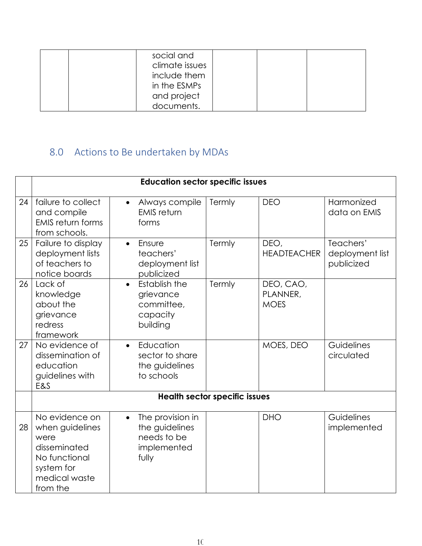| social and<br>climate issues<br>include them<br>in the ESMPs<br>and project |  |
|-----------------------------------------------------------------------------|--|
| documents.                                                                  |  |

## 8.0 Actions to Be undertaken by MDAs

<span id="page-14-0"></span>

|    | <b>Education sector specific issues</b>                                                                               |                                                                                        |                                      |                                      |                                            |  |
|----|-----------------------------------------------------------------------------------------------------------------------|----------------------------------------------------------------------------------------|--------------------------------------|--------------------------------------|--------------------------------------------|--|
| 24 | failure to collect<br>and compile<br><b>EMIS return forms</b><br>from schools.                                        | Always compile<br>$\bullet$<br><b>EMIS</b> return<br>forms                             | Termly                               | <b>DEO</b>                           | Harmonized<br>data on EMIS                 |  |
| 25 | Failure to display<br>deployment lists<br>of teachers to<br>notice boards                                             | Ensure<br>$\bullet$<br>teachers'<br>deployment list<br>publicized                      | Termly                               | DEO,<br><b>HEADTEACHER</b>           | Teachers'<br>deployment list<br>publicized |  |
| 26 | Lack of<br>knowledge<br>about the<br>grievance<br>redress<br>framework                                                | Establish the<br>$\bullet$<br>grievance<br>committee,<br>capacity<br>building          | Termly                               | DEO, CAO,<br>PLANNER,<br><b>MOES</b> |                                            |  |
| 27 | No evidence of<br>dissemination of<br>education<br>guidelines with<br>E&S                                             | Education<br>$\bullet$<br>sector to share<br>the guidelines<br>to schools              |                                      | MOES, DEO                            | Guidelines<br>circulated                   |  |
|    |                                                                                                                       |                                                                                        | <b>Health sector specific issues</b> |                                      |                                            |  |
| 28 | No evidence on<br>when guidelines<br>were<br>disseminated<br>No functional<br>system for<br>medical waste<br>from the | The provision in<br>$\bullet$<br>the guidelines<br>needs to be<br>implemented<br>fully |                                      | <b>DHO</b>                           | Guidelines<br>implemented                  |  |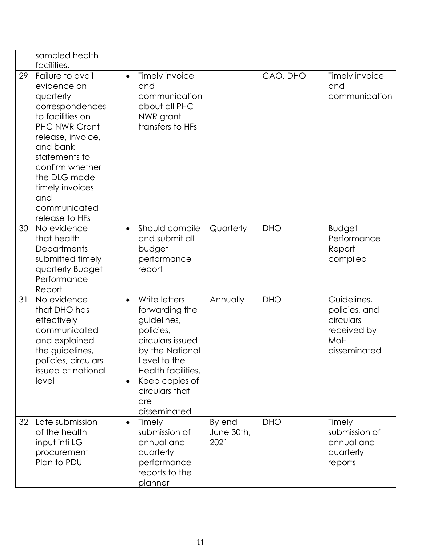|    | sampled health<br>facilities.                                                                                                                                                                                                                                |                                                                                                                                                                                                     |                              |            |                                                                                 |
|----|--------------------------------------------------------------------------------------------------------------------------------------------------------------------------------------------------------------------------------------------------------------|-----------------------------------------------------------------------------------------------------------------------------------------------------------------------------------------------------|------------------------------|------------|---------------------------------------------------------------------------------|
| 29 | Failure to avail<br>evidence on<br>quarterly<br>correspondences<br>to facilities on<br><b>PHC NWR Grant</b><br>release, invoice,<br>and bank<br>statements to<br>confirm whether<br>the DLG made<br>timely invoices<br>and<br>communicated<br>release to HFs | Timely invoice<br>$\bullet$<br>and<br>communication<br>about all PHC<br>NWR grant<br>transfers to HFs                                                                                               |                              | CAO, DHO   | Timely invoice<br>and<br>communication                                          |
| 30 | No evidence<br>that health<br>Departments<br>submitted timely<br>quarterly Budget<br>Performance<br>Report                                                                                                                                                   | Should compile<br>$\bullet$<br>and submit all<br>budget<br>performance<br>report                                                                                                                    | Quarterly                    | <b>DHO</b> | <b>Budget</b><br>Performance<br>Report<br>compiled                              |
| 31 | No evidence<br>that DHO has<br>effectively<br>communicated<br>and explained<br>the guidelines,<br>policies, circulars<br>issued at national<br>level                                                                                                         | Write letters<br>forwarding the<br>guidelines,<br>policies,<br>circulars issued<br>by the National<br>Level to the<br>Health facilities.<br>Keep copies of<br>circulars that<br>are<br>disseminated | Annually                     | <b>DHO</b> | Guidelines,<br>policies, and<br>circulars<br>received by<br>MoH<br>disseminated |
| 32 | Late submission<br>of the health<br>input inti LG<br>procurement<br>Plan to PDU                                                                                                                                                                              | Timely<br>$\bullet$<br>submission of<br>annual and<br>quarterly<br>performance<br>reports to the<br>planner                                                                                         | By end<br>June 30th,<br>2021 | <b>DHO</b> | Timely<br>submission of<br>annual and<br>quarterly<br>reports                   |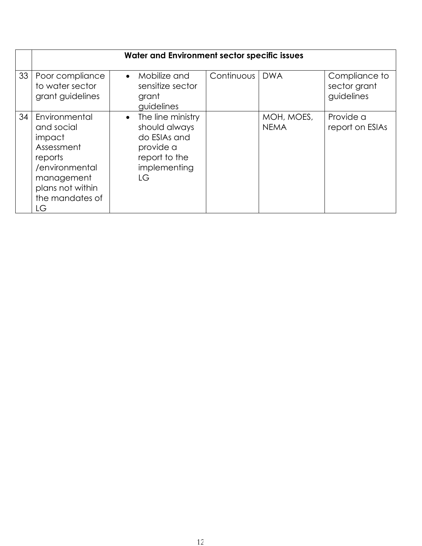|    | Water and Environment sector specific issues                                                                                                |                                                                                                                     |            |                           |                                             |
|----|---------------------------------------------------------------------------------------------------------------------------------------------|---------------------------------------------------------------------------------------------------------------------|------------|---------------------------|---------------------------------------------|
| 33 | Poor compliance<br>to water sector<br>grant guidelines                                                                                      | Mobilize and<br>$\bullet$<br>sensitize sector<br>grant<br>guidelines                                                | Continuous | <b>DWA</b>                | Compliance to<br>sector grant<br>guidelines |
| 34 | Environmental<br>and social<br>impact<br>Assessment<br>reports<br>/environmental<br>management<br>plans not within<br>the mandates of<br>LG | The line ministry<br>$\bullet$<br>should always<br>do ESIAs and<br>provide a<br>report to the<br>implementing<br>LG |            | MOH, MOES,<br><b>NEMA</b> | Provide a<br>report on ESIAs                |